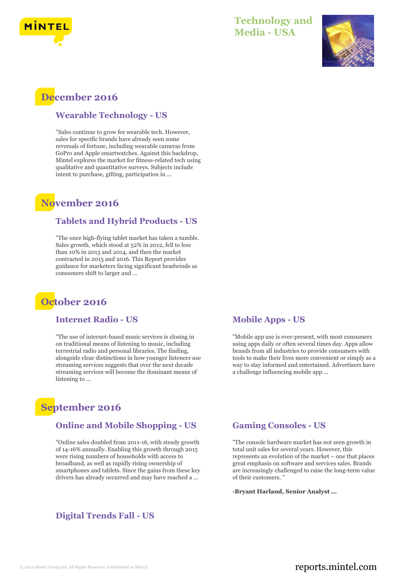



## **December 2016**

#### **Wearable Technology - US**

"Sales continue to grow for wearable tech. However, sales for specific brands have already seen some reversals of fortune, including wearable cameras from GoPro and Apple smartwatches. Against this backdrop, Mintel explores the market for fitness-related tech using qualitative and quantitative surveys. Subjects include intent to purchase, gifting, participation in ...

### **November 2016**

#### **Tablets and Hybrid Products - US**

"The once high-flying tablet market has taken a tumble. Sales growth, which stood at 52% in 2012, fell to less than 10% in 2013 and 2014, and then the market contracted in 2015 and 2016. This Report provides guidance for marketers facing significant headwinds as consumers shift to larger and ...

### **October 2016**

### **Internet Radio - US**

"The use of internet-based music services is closing in on traditional means of listening to music, including terrestrial radio and personal libraries. The finding, alongside clear distinctions in how younger listeners use streaming services suggests that over the next decade streaming services will become the dominant means of listening to ...

### **September 2016**

#### **Online and Mobile Shopping - US**

"Online sales doubled from 2011-16, with steady growth of 14-16% annually. Enabling this growth through 2015 were rising numbers of households with access to broadband, as well as rapidly rising ownership of smartphones and tablets. Since the gains from these key drivers has already occurred and may have reached a ...

### **Digital Trends Fall - US**

#### **Mobile Apps - US**

"Mobile app use is ever-present, with most consumers using apps daily or often several times day. Apps allow brands from all industries to provide consumers with tools to make their lives more convenient or simply as a way to stay informed and entertained. Advertisers have a challenge influencing mobile app ...

#### **Gaming Consoles - US**

"The console hardware market has not seen growth in total unit sales for several years. However, this represents an evolution of the market – one that places great emphasis on software and services sales. Brands are increasingly challenged to raise the long-term value of their customers. "

**-Bryant Harland, Senior Analyst ...**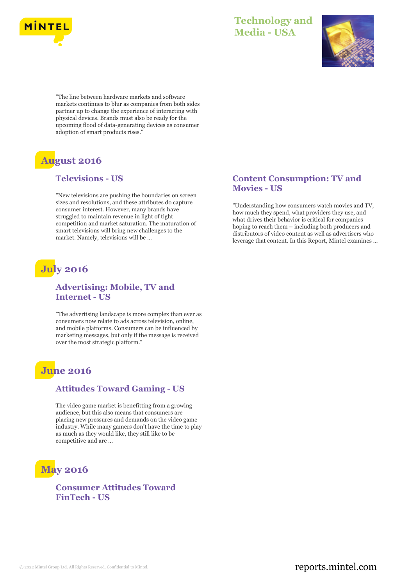



"The line between hardware markets and software markets continues to blur as companies from both sides partner up to change the experience of interacting with physical devices. Brands must also be ready for the upcoming flood of data-generating devices as consumer adoption of smart products rises."

# **August 2016**

### **Televisions - US**

"New televisions are pushing the boundaries on screen sizes and resolutions, and these attributes do capture consumer interest. However, many brands have struggled to maintain revenue in light of tight competition and market saturation. The maturation of smart televisions will bring new challenges to the market. Namely, televisions will be ...

# **July 2016**

### **Advertising: Mobile, TV and Internet - US**

"The advertising landscape is more complex than ever as consumers now relate to ads across television, online, and mobile platforms. Consumers can be influenced by marketing messages, but only if the message is received over the most strategic platform."

### **June 2016**

#### **Attitudes Toward Gaming - US**

The video game market is benefitting from a growing audience, but this also means that consumers are placing new pressures and demands on the video game industry. While many gamers don't have the time to play as much as they would like, they still like to be competitive and are ...

# **May 2016**

**Consumer Attitudes Toward FinTech - US**

### **Content Consumption: TV and Movies - US**

"Understanding how consumers watch movies and TV, how much they spend, what providers they use, and what drives their behavior is critical for companies hoping to reach them – including both producers and distributors of video content as well as advertisers who leverage that content. In this Report, Mintel examines ...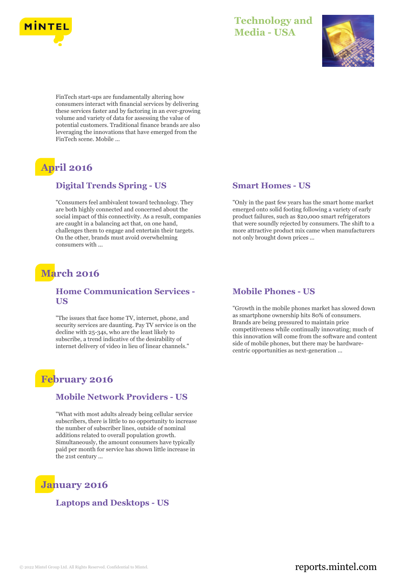



FinTech start-ups are fundamentally altering how consumers interact with financial services by delivering these services faster and by factoring in an ever-growing volume and variety of data for assessing the value of potential customers. Traditional finance brands are also leveraging the innovations that have emerged from the FinTech scene. Mobile ...

# **April 2016**

### **Digital Trends Spring - US**

"Consumers feel ambivalent toward technology. They are both highly connected and concerned about the social impact of this connectivity. As a result, companies are caught in a balancing act that, on one hand, challenges them to engage and entertain their targets. On the other, brands must avoid overwhelming consumers with ...

## **March 2016**

### **Home Communication Services - US**

"The issues that face home TV, internet, phone, and security services are daunting. Pay TV service is on the decline with 25-34s, who are the least likely to subscribe, a trend indicative of the desirability of internet delivery of video in lieu of linear channels."

## **February 2016**

#### **Mobile Network Providers - US**

"What with most adults already being cellular service subscribers, there is little to no opportunity to increase the number of subscriber lines, outside of nominal additions related to overall population growth. Simultaneously, the amount consumers have typically paid per month for service has shown little increase in the 21st century ...

### **January 2016**

**Laptops and Desktops - US**

#### **Smart Homes - US**

"Only in the past few years has the smart home market emerged onto solid footing following a variety of early product failures, such as \$20,000 smart refrigerators that were soundly rejected by consumers. The shift to a more attractive product mix came when manufacturers not only brought down prices ...

#### **Mobile Phones - US**

"Growth in the mobile phones market has slowed down as smartphone ownership hits 80% of consumers. Brands are being pressured to maintain price competitiveness while continually innovating; much of this innovation will come from the software and content side of mobile phones, but there may be hardwarecentric opportunities as next-generation ...